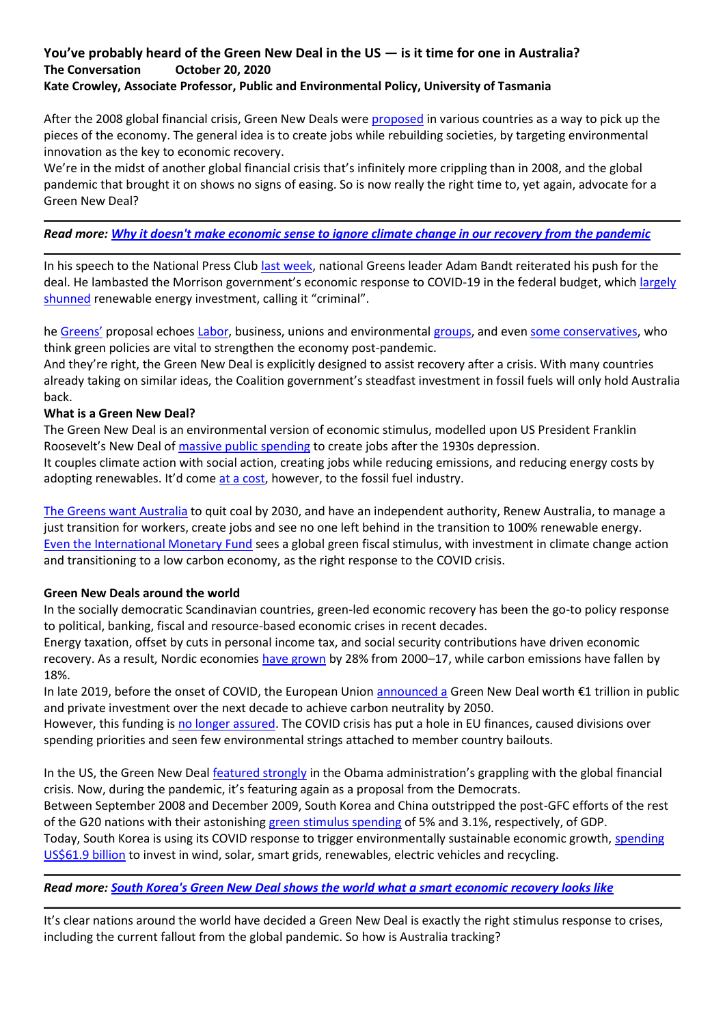# **You've probably heard of the Green New Deal in the US — is it time for one in Australia? The Conversation October 20, 2020 Kate Crowley, Associate Professor, Public and Environmental Policy, University of Tasmania**

After the 2008 global financial crisis, Green New Deals were [proposed](https://www.theguardian.com/business/2008/aug/03/economicgrowth.climatechange) in various countries as a way to pick up the pieces of the economy. The general idea is to create jobs while rebuilding societies, by targeting environmental innovation as the key to economic recovery.

We're in the midst of another global financial crisis that's infinitely more crippling than in 2008, and the global pandemic that brought it on shows no signs of easing. So is now really the right time to, yet again, advocate for a Green New Deal?

# *Read more: [Why it doesn't make economic sense to ignore climate change in our recovery from the pandemic](https://theconversation.com/why-it-doesnt-make-economic-sense-to-ignore-climate-change-in-our-recovery-from-the-pandemic-137282)*

In his speech to the National Press Club [last week,](https://reneweconomy.com.au/greens-renew-call-for-green-new-deal-describe-morrisons-climate-policies-as-criminal-90588/) national Greens leader Adam Bandt reiterated his push for the deal. He lambasted the Morrison government's economic response to COVID-19 in the federal budget, which [largely](https://theconversation.com/backwards-federal-budget-morrison-government-never-fails-to-disappoint-on-climate-action-147659)  [shunned](https://theconversation.com/backwards-federal-budget-morrison-government-never-fails-to-disappoint-on-climate-action-147659) renewable energy investment, calling it "criminal".

he [Greens'](https://greens.org.au/campaigns/green-new-deal) proposal echoes [Labor,](https://reneweconomy.com.au/albo-and-the-green-new-deal-great-name-for-a-band-but-is-it-good-policy-27424/) business, unions and environmental [groups,](https://www.theguardian.com/australia-news/2020/may/22/australian-government-urged-to-back-sustainable-covid-19-recovery-with-clean-energy-transition) and even [some conservatives,](https://www.smh.com.au/politics/nsw/enormous-opportunities-nsw-s-green-economic-recovery-from-covid-19-20200906-p55srz.html) who think green policies are vital to strengthen the economy post-pandemic.

And they're right, the Green New Deal is explicitly designed to assist recovery after a crisis. With many countries already taking on similar ideas, the Coalition government's steadfast investment in fossil fuels will only hold Australia back.

### **What is a Green New Deal?**

The Green New Deal is an environmental version of economic stimulus, modelled upon US President Franklin Roosevelt's New Deal of [massive public spending](https://www.theguardian.com/commentisfree/2020/may/20/roosevelts-new-deal) to create jobs after the 1930s depression. It couples climate action with social action, creating jobs while reducing emissions, and reducing energy costs by adopting renewables. It'd come [at a cost,](https://news.stanford.edu/2019/03/28/strengths-weaknesses-green-new-deal/) however, to the fossil fuel industry.

[The Greens want Australia](https://greens.org.au/campaigns/green-new-deal) to quit coal by 2030, and have an independent authority, Renew Australia, to manage a just transition for workers, create jobs and see no one left behind in the transition to 100% renewable energy. [Even the International Monetary Fund](https://theconversation.com/some-say-neoliberals-have-destroyed-the-world-but-now-they-want-to-save-it-is-scott-morrison-listening-148167) sees a global green fiscal stimulus, with investment in climate change action and transitioning to a low carbon economy, as the right response to the COVID crisis.

#### **Green New Deals around the world**

In the socially democratic Scandinavian countries, green-led economic recovery has been the go-to policy response to political, banking, fiscal and resource-based economic crises in recent decades.

Energy taxation, offset by cuts in personal income tax, and social security contributions have driven economic recovery. As a result, Nordic economies [have grown](https://norden.diva-portal.org/smash/get/diva2:1146911/FULLTEXT05.pdf) by 28% from 2000–17, while carbon emissions have fallen by 18%.

In late 2019, before the onset of COVID, the European Union [announced a](https://www.weforum.org/agenda/2020/05/the-european-green-deal-must-be-at-the-heart-of-the-covid-19-recovery/) Green New Deal worth €1 trillion in public and private investment over the next decade to achieve carbon neutrality by 2050.

However, this funding is [no longer assured.](https://www.weforum.org/agenda/2020/06/3-challenges-covid-19-european-green-deal-european-commission/) The COVID crisis has put a hole in EU finances, caused divisions over spending priorities and seen few environmental strings attached to member country bailouts.

In the US, the Green New Deal [featured strongly](https://ourworld.unu.edu/en/what-ever-happened-to-the-green-new-deal) in the Obama administration's grappling with the global financial crisis. Now, during the pandemic, it's featuring again as a proposal from the Democrats. Between September 2008 and December 2009, South Korea and China outstripped the post-GFC efforts of the rest of the G20 nations with their astonishing [green stimulus spending](https://voxeu.org/article/urgently-needed-global-green-new-deal) of 5% and 3.1%, respectively, of GDP. Today, South Korea is using its COVID response to trigger environmentally sustainable economic growth, [spending](https://theconversation.com/south-koreas-green-new-deal-shows-the-world-what-a-smart-economic-recovery-looks-like-145032)  [US\\$61.9 billion](https://theconversation.com/south-koreas-green-new-deal-shows-the-world-what-a-smart-economic-recovery-looks-like-145032) to invest in wind, solar, smart grids, renewables, electric vehicles and recycling.

# *Read more: [South Korea's Green New Deal shows the world what a smart economic recovery looks like](https://theconversation.com/south-koreas-green-new-deal-shows-the-world-what-a-smart-economic-recovery-looks-like-145032)*

It's clear nations around the world have decided a Green New Deal is exactly the right stimulus response to crises, including the current fallout from the global pandemic. So how is Australia tracking?